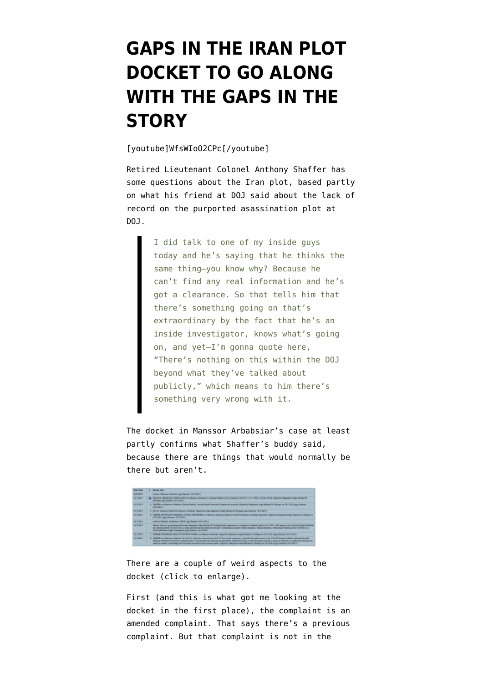## **[GAPS IN THE IRAN PLOT](https://www.emptywheel.net/2011/10/13/gaps-in-the-iran-plot-docket-to-go-along-with-the-gaps-in-the-story/) [DOCKET TO GO ALONG](https://www.emptywheel.net/2011/10/13/gaps-in-the-iran-plot-docket-to-go-along-with-the-gaps-in-the-story/) [WITH THE GAPS IN THE](https://www.emptywheel.net/2011/10/13/gaps-in-the-iran-plot-docket-to-go-along-with-the-gaps-in-the-story/) [STORY](https://www.emptywheel.net/2011/10/13/gaps-in-the-iran-plot-docket-to-go-along-with-the-gaps-in-the-story/)**

[youtube]WfsWIoO2CPc[/youtube]

Retired Lieutenant Colonel Anthony Shaffer has some questions about the Iran plot, based partly on what his friend at DOJ said about the lack of record on the purported asassination plot at DOJ.

> I did talk to one of my inside guys today and he's saying that he thinks the same thing–you know why? Because he can't find any real information and he's got a clearance. So that tells him that there's something going on that's extraordinary by the fact that he's an inside investigator, knows what's going on, and yet–I'm gonna quote here, "There's nothing on this within the DOJ beyond what they've talked about publicly," which means to him there's something very wrong with it.

The docket in Manssor Arbabsiar's case at least partly confirms what Shaffer's buddy said, because there are things that would normally be there but aren't.



There are a couple of weird aspects to the docket (click to enlarge).

First (and this is what got me looking at the docket in the first place), the [complaint](http://www.emptywheel.net/wp-content/uploads/2011/10/111011-Ababsiar-Amended-Complaint.pdf) is an amended complaint. That says there's a previous complaint. But that complaint is not in the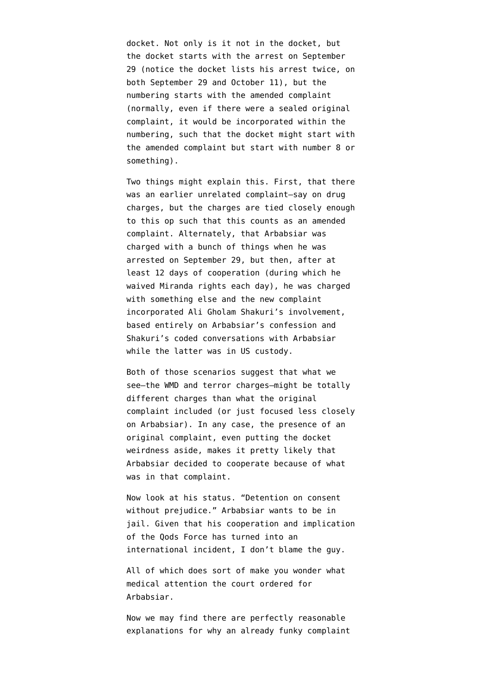docket. Not only is it not in the docket, but the docket starts with the arrest on September 29 (notice the docket lists his arrest twice, on both September 29 and October 11), but the numbering starts with the amended complaint (normally, even if there were a sealed original complaint, it would be incorporated within the numbering, such that the docket might start with the amended complaint but start with number 8 or something).

Two things might explain this. First, that there was an earlier unrelated complaint–say on drug charges, but the charges are tied closely enough to this op such that this counts as an amended complaint. Alternately, that Arbabsiar was charged with a bunch of things when he was arrested on September 29, but then, after at least 12 days of cooperation (during which he waived Miranda rights each day), he was charged with something else and the new complaint incorporated Ali Gholam Shakuri's involvement, based entirely on Arbabsiar's confession and Shakuri's coded conversations with Arbabsiar while the latter was in US custody.

Both of those scenarios suggest that what we see–the WMD and terror charges–might be totally different charges than what the original complaint included (or just focused less closely on Arbabsiar). In any case, the presence of an original complaint, even putting the docket weirdness aside, makes it pretty likely that Arbabsiar decided to cooperate because of what was in that complaint.

Now look at his status. "Detention on consent without prejudice." Arbabsiar wants to be in jail. Given that his cooperation and implication of the Qods Force has turned into an international incident, I don't blame the guy.

All of which does sort of make you wonder what medical attention the court ordered for Arbabsiar.

Now we may find there are perfectly reasonable explanations for why an already funky complaint